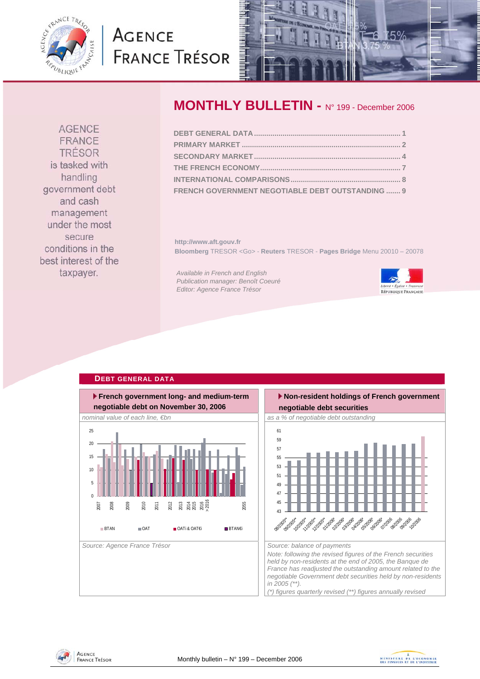<span id="page-0-0"></span>

## **AGENCE FRANCE TRÉSOR**



## **MONTHLY BULLETIN -** N° 199 - December 2006

| FRENCH GOVERNMENT NEGOTIABLE DEBT OUTSTANDING  9 |  |
|--------------------------------------------------|--|

**http://www.aft.gouv.fr Bloomberg** TRESOR <Go> - **Reuters** TRESOR - **Pages Bridge** Menu 20010 – 20078

*Available in French and English Publication manager: Benoît Coeuré Editor: Agence France Trésor* 



#### **French government long- and medium-term negotiable debt on November 30, 2006**  *nominal value of each line, €bn* as a % of negotiable debt outstanding as a % of negotiable debt outstanding Source: Agence France Trésor **Source: balance of payments** Source: balance of payments 0 5 10 15 20 25 2007 2008 2009 2010 2011 2012 គ<br>ខាង<br>ខាង ខាង 2055 **BTAN OAT OATI&OATE**i BTAN€i

**DEBT GENERAL DATA**



## **AGENCE** FRANCE

TRÉSOR is tasked with handling government debt and cash management under the most secure conditions in the best interest of the taxpayer.



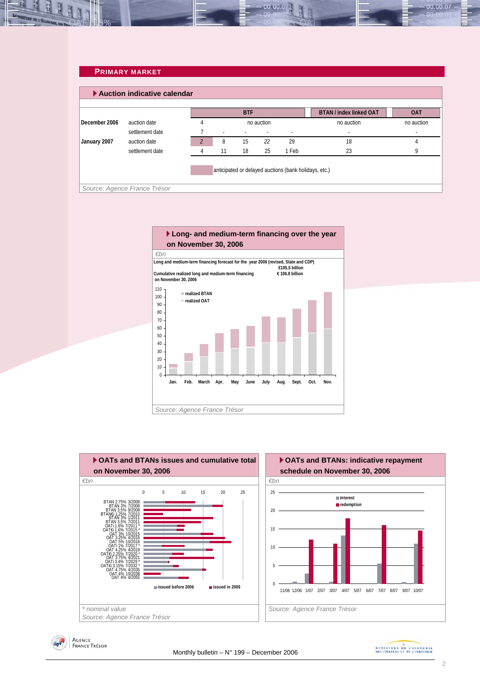### **PRIMARY MARKET**

<span id="page-1-0"></span>

00.00.0







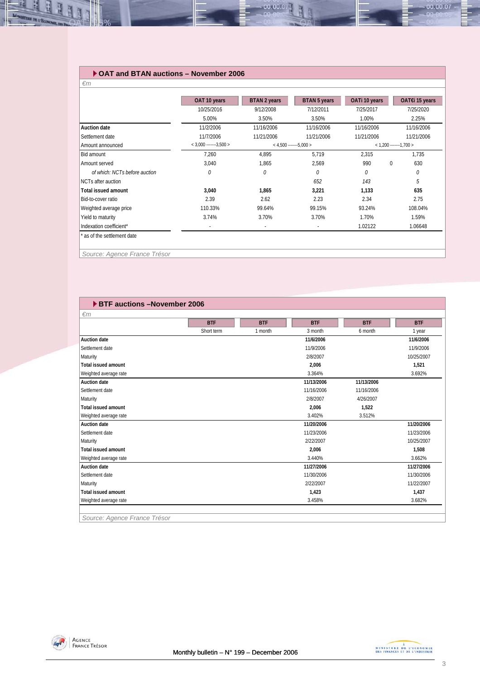#### **OAT and BTAN auctions – November 2006**

11

|                               | OAT 10 years             | BTAN 2 years                                         | <b>BTAN 5 years</b> | OATi 10 years | OAT€i 15 years |  |
|-------------------------------|--------------------------|------------------------------------------------------|---------------------|---------------|----------------|--|
|                               | 10/25/2016               | 9/12/2008                                            | 7/12/2011           | 7/25/2017     | 7/25/2020      |  |
|                               | 5.00%                    | 3.50%                                                | 3.50%               | 1.00%         | 2.25%          |  |
| <b>Auction date</b>           | 11/2/2006                | 11/16/2006                                           | 11/16/2006          | 11/16/2006    | 11/16/2006     |  |
| Settlement date               | 11/7/2006                | 11/21/2006                                           | 11/21/2006          | 11/21/2006    | 11/21/2006     |  |
| Amount announced              | $<$ 3,000 -------3,500 > | $<$ 4.500 -------5.000 ><br>$< 1,200$ -------1,700 > |                     |               |                |  |
| Bid amount                    | 7,260                    | 4,895                                                | 5,719               | 2,315         | 1,735          |  |
| Amount served                 | 3,040                    | 1,865                                                | 2,569               | 990           | 0<br>630       |  |
| of which: NCTs before auction | $\theta$                 | 0                                                    | 0                   | $\Omega$      | $\theta$       |  |
| NCTs after auction            |                          |                                                      | 652                 | 143           | 5              |  |
| <b>Total issued amount</b>    | 3,040                    | 1,865                                                | 3,221               | 1,133         | 635            |  |
| Bid-to-cover ratio            | 2.39                     | 2.62                                                 | 2.23                | 2.34          | 2.75           |  |
| Weighted average price        | 110.33%                  | 99.64%                                               | 99.15%              | 93.24%        | 108.04%        |  |
| Yield to maturity             | 3.74%                    | 3.70%                                                | 3.70%               | 1.70%         | 1.59%          |  |
| Indexation coefficient*       |                          | $\overline{\phantom{a}}$                             | ٠                   | 1.02122       | 1.06648        |  |
| ' as of the settlement date   |                          |                                                      |                     |               |                |  |

00.00.07

 **BTF auctions –November 2006**  *€m* **BTF BTF BTF BTF** Short term 1 month 3 month 6 month **BTF** 1 year **Auction date 11/6/2006 11/6/2006** Settlement date and the state of the state of the state of the 11/9/2006 11/9/2006 11/9/2006 11/9/2006 Maturity 2/8/2007 10/25/2007 **Total issued amount 2,006 1,521** Weighted average rate 3.692% 3.64% 3.692% 3.692% 3.692% 3.692% 3.692% 3.692% 3.692% 3.692% 3.692% 3.692% 3.692% **Auction date 11/13/2006 11/13/2006** Settlement date 11/16/2006 11/16/2006 11/16/2006 11/16/2006 Maturity 2/8/2007 4/26/2007 **Total issued amount 2,006 1,522** Weighted average rate 3.402% 3.512% 3.512% 3.612% **Auction date 11/20/2006 11/20/2006** Settlement date 11/23/2006 11/23/2006 11/23/2006 11/23/2006 11/23/2006 11/23/2006 11/23/2006 11/23/2006 11/23/2006 Maturity 2/22/2007 10/25/2007 **Total issued amount 2,006 1,508** Weighted average rate 3.662% **Auction date 11/27/2006 11/27/2006** Settlement date 11/30/2006 11/30/2006 11/30/2006 11/30/2006 11/30/2006 11/30/2006 11/30/2006 11/30/2006 11/30 Maturity 2/22/2007 11/22/2007 **Total issued amount 1,423 1,437** Weighted average rate 3.458% 3.682%

*Source: Agence France Trésor* 



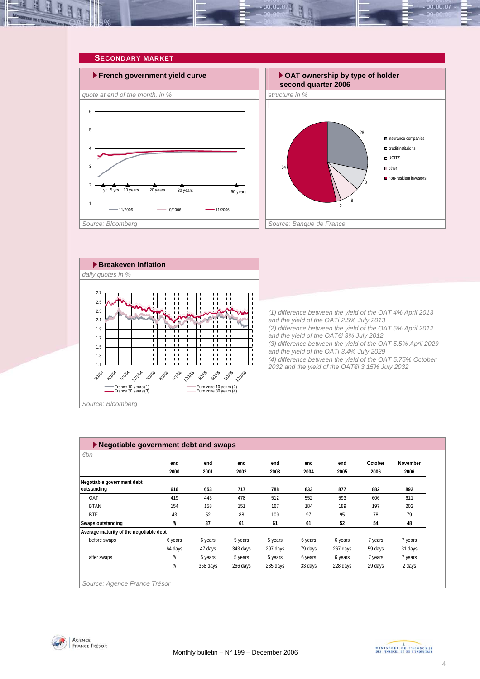<span id="page-3-0"></span>







*(1) difference between the yield of the OAT 4% April 2013 and the yield of the OATi 2.5% July 2013 (2) difference between the yield of the OAT 5% April 2012 and the yield of the OAT€i 3% July 2012 (3) difference between the yield of the OAT 5.5% April 2029 and the yield of the OATi 3.4% July 2029 (4) difference between the yield of the OAT 5.75% October 2032 and the yield of the OAT€i 3.15% July 2032* 

| $\varepsilon$ bn                        |         |          |          |          |         |          |         |          |
|-----------------------------------------|---------|----------|----------|----------|---------|----------|---------|----------|
|                                         | end     | end      | end      | end      | end     | end      | October | November |
|                                         | 2000    | 2001     | 2002     | 2003     | 2004    | 2005     | 2006    | 2006     |
| Negotiable government debt              |         |          |          |          |         |          |         |          |
| outstanding                             | 616     | 653      | 717      | 788      | 833     | 877      | 882     | 892      |
| <b>OAT</b>                              | 419     | 443      | 478      | 512      | 552     | 593      | 606     | 611      |
| <b>BTAN</b>                             | 154     | 158      | 151      | 167      | 184     | 189      | 197     | 202      |
| <b>BTF</b>                              | 43      | 52       | 88       | 109      | 97      | 95       | 78      | 79       |
| Swaps outstanding                       | III     | 37       | 61       | 61       | 61      | 52       | 54      | 48       |
| Average maturity of the negotiable debt |         |          |          |          |         |          |         |          |
| before swaps                            | 6 years | 6 years  | 5 years  | 5 years  | 6 years | 6 years  | 7 years | 7 years  |
|                                         | 64 days | 47 days  | 343 days | 297 days | 79 days | 267 days | 59 days | 31 days  |
| after swaps                             | III     | 5 years  | 5 years  | 5 years  | 6 years | 6 years  | 7 years | 7 years  |
|                                         | III     | 358 days | 266 days | 235 days | 33 days | 228 days | 29 days | 2 days   |



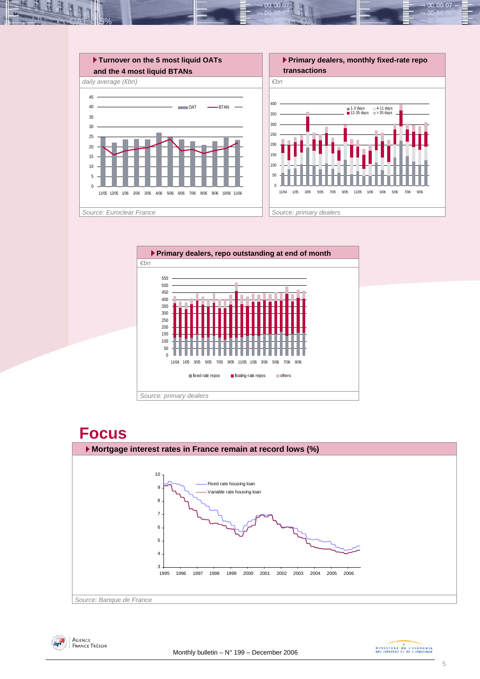



## **Focus**





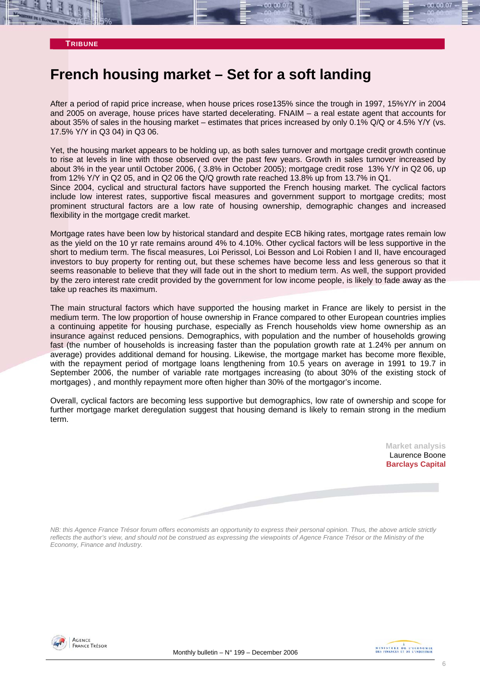## **French housing market – Set for a soft landing**

After a period of rapid price increase, when house prices rose135% since the trough in 1997, 15%Y/Y in 2004 and 2005 on average, house prices have started decelerating. FNAIM – a real estate agent that accounts for about 35% of sales in the housing market – estimates that prices increased by only 0.1% Q/Q or 4.5% Y/Y (vs. 17.5% Y/Y in Q3 04) in Q3 06.

Yet, the housing market appears to be holding up, as both sales turnover and mortgage credit growth continue to rise at levels in line with those observed over the past few years. Growth in sales turnover increased by about 3% in the year until October 2006, ( 3.8% in October 2005); mortgage credit rose 13% Y/Y in Q2 06, up from 12% Y/Y in Q2 05, and in Q2 06 the Q/Q growth rate reached 13.8% up from 13.7% in Q1.

Since 2004, cyclical and structural factors have supported the French housing market. The cyclical factors include low interest rates, supportive fiscal measures and government support to mortgage credits; most prominent structural factors are a low rate of housing ownership, demographic changes and increased flexibility in the mortgage credit market.

Mortgage rates have been low by historical standard and despite ECB hiking rates, mortgage rates remain low as the yield on the 10 yr rate remains around 4% to 4.10%. Other cyclical factors will be less supportive in the short to medium term. The fiscal measures, Loi Perissol, Loi Besson and Loi Robien I and II, have encouraged investors to buy property for renting out, but these schemes have become less and less generous so that it seems reasonable to believe that they will fade out in the short to medium term. As well, the support provided by the zero interest rate credit provided by the government for low income people, is likely to fade away as the take up reaches its maximum.

The main structural factors which have supported the housing market in France are likely to persist in the medium term. The low proportion of house ownership in France compared to other European countries implies a continuing appetite for housing purchase, especially as French households view home ownership as an insurance against reduced pensions. Demographics, with population and the number of households growing fast (the number of households is increasing faster than the population growth rate at 1.24% per annum on average) provides additional demand for housing. Likewise, the mortgage market has become more flexible, with the repayment period of mortgage loans lengthening from 10.5 years on average in 1991 to 19.7 in September 2006, the number of variable rate mortgages increasing (to about 30% of the existing stock of mortgages) , and monthly repayment more often higher than 30% of the mortgagor's income.

Overall, cyclical factors are becoming less supportive but demographics, low rate of ownership and scope for further mortgage market deregulation suggest that housing demand is likely to remain strong in the medium term.

> **Market analysis** Laurence Boone **Barclays Capital**

*NB: this Agence France Trésor forum offers economists an opportunity to express their personal opinion. Thus, the above article strictly reflects the author's view, and should not be construed as expressing the viewpoints of Agence France Trésor or the Ministry of the Economy, Finance and Industry.* 



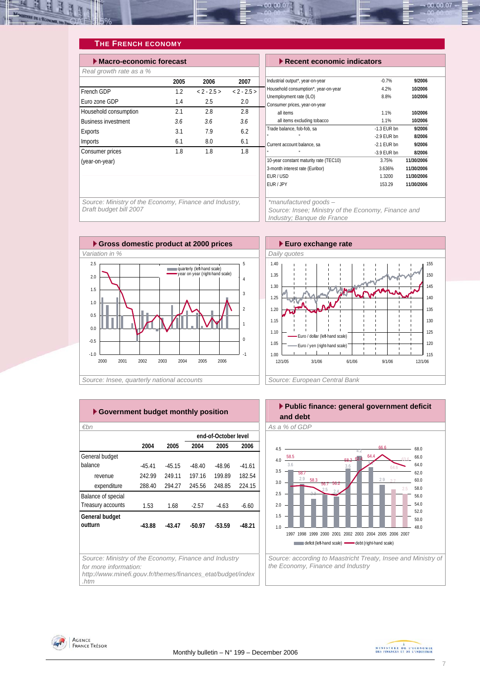<span id="page-6-0"></span>

### **THE FRENCH ECONOMY**

| $\blacktriangleright$ Macro-economic forecast |      |               | $\blacktriangleright$ Recent economic indicators |                                                          |              |
|-----------------------------------------------|------|---------------|--------------------------------------------------|----------------------------------------------------------|--------------|
| Real growth rate as a %                       |      |               |                                                  |                                                          |              |
|                                               | 2005 | 2006          | 2007                                             | Industrial output*, year-on-year                         | -(           |
| French GDP                                    | 1.2  | $< 2 - 2.5 >$ | $< 2 - 2.5 >$                                    | Household consumption*, year-on-year                     |              |
| Euro zone GDP                                 | 1.4  | 2.5           | 2.0                                              | Unemployment rate (ILO)<br>Consumer prices, year-on-year | 8            |
| Household consumption                         | 2.1  | 2.8           | 2.8                                              | all items                                                |              |
| <b>Business investment</b>                    | 3.6  | 3.6           | 3.6                                              | all items excluding tobacco                              |              |
| Exports                                       | 3.1  | 7.9           | 6.2                                              | Trade balance, fob-fob, sa                               | $-1.3$       |
| Imports                                       | 6.1  | 8.0           | 6.1                                              |                                                          | $-2.9$       |
|                                               |      |               |                                                  | Current account balance, sa                              | $-2.1$       |
| Consumer prices                               | 1.8  | 1.8           | 1.8                                              |                                                          | $-3.9$       |
| (year-on-year)                                |      |               |                                                  | 10-year constant maturity rate (TEC10)                   | 3.           |
|                                               |      |               |                                                  | 3-month interest rate (Euribor)                          | 3.6          |
|                                               |      |               |                                                  | FUR/USD                                                  | $\mathbf{1}$ |

| Recent economic indicators             |               |            |  |  |  |  |  |  |
|----------------------------------------|---------------|------------|--|--|--|--|--|--|
|                                        |               |            |  |  |  |  |  |  |
| Industrial output*, year-on-year       | $-0.7%$       | 9/2006     |  |  |  |  |  |  |
| Household consumption*, year-on-year   | 4.2%          | 10/2006    |  |  |  |  |  |  |
| Unemployment rate (ILO)                | 8.8%          | 10/2006    |  |  |  |  |  |  |
| Consumer prices, year-on-year          |               |            |  |  |  |  |  |  |
| all items                              | 1.1%          | 10/2006    |  |  |  |  |  |  |
| all items excluding tobacco            | 1.1%          | 10/2006    |  |  |  |  |  |  |
| Trade balance, fob-fob, sa             | $-1.3$ FUR bn | 9/2006     |  |  |  |  |  |  |
| m,                                     | -2.9 FUR bn   | 8/2006     |  |  |  |  |  |  |
| Current account balance, sa            | $-2.1$ FUR bn | 9/2006     |  |  |  |  |  |  |
|                                        | $-3.9$ FUR bn | 8/2006     |  |  |  |  |  |  |
| 10-year constant maturity rate (TEC10) | 3.75%         | 11/30/2006 |  |  |  |  |  |  |
| 3-month interest rate (Euribor)        | 3.636%        | 11/30/2006 |  |  |  |  |  |  |
| FUR/USD                                | 1.3200        | 11/30/2006 |  |  |  |  |  |  |
| FUR / JPY                              | 153.29        | 11/30/2006 |  |  |  |  |  |  |
|                                        |               |            |  |  |  |  |  |  |

*Source: Ministry of the Economy, Finance and Industry, Draft budget bill 2007* 

*\*manufactured goods –* 

*Source: Insee; Ministry of the Economy, Finance and Industry; Banque de France* 



| Euro exchange rate |                                                                    |        |        |         |
|--------------------|--------------------------------------------------------------------|--------|--------|---------|
| Daily quotes       |                                                                    |        |        |         |
| 1.40               |                                                                    |        |        | 155     |
| 1.35               |                                                                    |        |        | 150     |
| 1.30               |                                                                    |        |        | 145     |
| 1.25               |                                                                    |        |        | 140     |
| 1.20               |                                                                    |        |        | 135     |
| 1.15               |                                                                    |        |        | 130     |
| 1.10               |                                                                    |        |        | 125     |
| 1.05               | Euro / dollar (left-hand scale)<br>- Euro / yen (right-hand scale) |        |        | 120     |
| 1.00               |                                                                    |        |        | 115     |
| 12/1/05            | 3/1/06                                                             | 6/1/06 | 9/1/06 | 12/1/06 |

| Government budget monthly position                                  |          |          |          |                      |          |  |  |  |  |
|---------------------------------------------------------------------|----------|----------|----------|----------------------|----------|--|--|--|--|
| $\varepsilon$ bn                                                    |          |          |          |                      |          |  |  |  |  |
|                                                                     |          |          |          | end-of-October level |          |  |  |  |  |
|                                                                     | 2004     | 2005     | 2004     | 2005                 | 2006     |  |  |  |  |
| General budget                                                      |          |          |          |                      |          |  |  |  |  |
| balance                                                             | $-45.41$ | $-45.15$ | $-48.40$ | -48.96               | $-41.61$ |  |  |  |  |
| revenue                                                             | 242.99   | 249.11   | 197.16   | 199.89               | 182.54   |  |  |  |  |
| expenditure                                                         | 288.40   | 294.27   | 245.56   | 248.85               | 224.15   |  |  |  |  |
| Balance of special                                                  |          |          |          |                      |          |  |  |  |  |
| Treasury accounts                                                   | 1.53     | 1.68     | $-2.57$  | $-4.63$              | $-6.60$  |  |  |  |  |
| General budget                                                      |          |          |          |                      |          |  |  |  |  |
| outturn                                                             | $-43.88$ | $-43.47$ | $-50.97$ | $-53.59$             | $-48.21$ |  |  |  |  |
|                                                                     |          |          |          |                      |          |  |  |  |  |
|                                                                     |          |          |          |                      |          |  |  |  |  |
| Source: Ministry of the Economy, Finance and Industry               |          |          |          |                      |          |  |  |  |  |
| for more information:                                               |          |          |          |                      |          |  |  |  |  |
| http://www.minefi.gouv.fr/themes/finances_etat/budget/index<br>.htm |          |          |          |                      |          |  |  |  |  |



*Source: according to Maastricht Treaty, Insee and Ministry of the Economy, Finance and Industry* 

# Agence<br>France Trésor

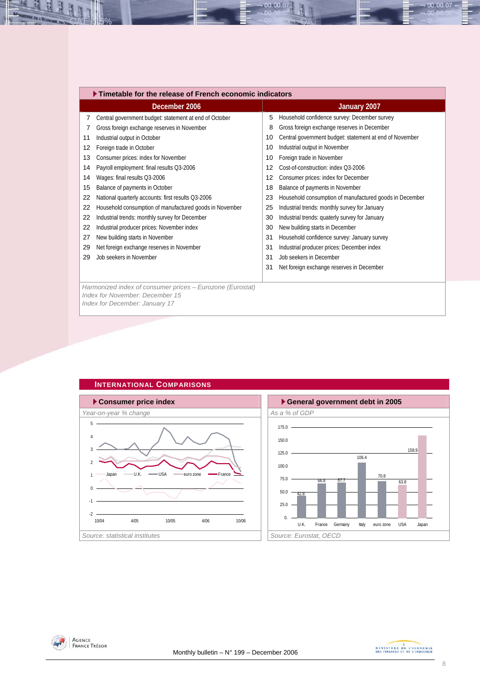<span id="page-7-0"></span>

|    | Timetable for the release of French economic indicators<br>December 2006 |    | January 2007                                            |
|----|--------------------------------------------------------------------------|----|---------------------------------------------------------|
| 7  | Central government budget: statement at end of October                   | 5  | Household confidence survey: December survey            |
| 7  | Gross foreign exchange reserves in November                              | 8  | Gross foreign exchange reserves in December             |
| 11 | Industrial output in October                                             | 10 | Central government budget: statement at end of November |
| 12 | Foreign trade in October                                                 | 10 | Industrial output in November                           |
| 13 | Consumer prices: index for November                                      | 10 | Foreign trade in November                               |
| 14 | Payroll employment: final results Q3-2006                                | 12 | Cost-of-construction: index Q3-2006                     |
| 14 | Wages: final results Q3-2006                                             | 12 | Consumer prices: index for December                     |
| 15 | Balance of payments in October                                           | 18 | Balance of payments in November                         |
| 22 | National quarterly accounts: first results Q3-2006                       | 23 | Household consumption of manufactured goods in December |
| 22 | Household consumption of manufactured goods in November                  | 25 | Industrial trends: monthly survey for January           |
| 22 | Industrial trends: monthly survey for December                           | 30 | Industrial trends: quaterly survey for January          |
| 22 | Industrial producer prices: November index                               | 30 | New building starts in December                         |
| 27 | New building starts in November                                          | 31 | Household confidence survey: January survey             |
| 29 | Net foreign exchange reserves in November                                | 31 | Industrial producer prices: December index              |
| 29 | Job seekers in November                                                  | 31 | Job seekers in December                                 |
|    |                                                                          | 31 | Net foreign exchange reserves in December               |
|    |                                                                          |    |                                                         |

 $00.00.0$ 

*Index for November: December 15 Index for December: January 17* 







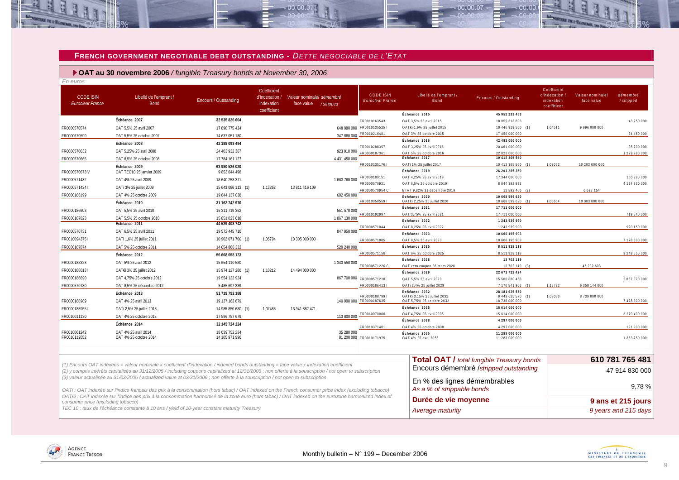#### **FRENCH GOVERNMENT NEGOTIABLE DEBT OUTSTANDING -** *DETTE NEGOCIABLE DE L'ETAT*

 $00.00.07$ 

 **OAT au 30 novembre 2006** */ fungible Treasury bonds at November 30, 2006*

| En euros                                                                                                                                                                                                           |                                                                                                                                                                                                                                                                                             |                                  | Coefficient                                 |                                                    |               | <b>CODE ISIN</b>                           | Libellé de l'emprunt /                                   |                                                  | Coefficient<br>d'indexation / | Valeur nominale/      | démembré             |
|--------------------------------------------------------------------------------------------------------------------------------------------------------------------------------------------------------------------|---------------------------------------------------------------------------------------------------------------------------------------------------------------------------------------------------------------------------------------------------------------------------------------------|----------------------------------|---------------------------------------------|----------------------------------------------------|---------------|--------------------------------------------|----------------------------------------------------------|--------------------------------------------------|-------------------------------|-----------------------|----------------------|
| <b>CODE ISIN</b><br><b>Euroclear France</b>                                                                                                                                                                        | Libellé de l'emprunt /<br><b>Bond</b>                                                                                                                                                                                                                                                       | <b>Encours / Outstanding</b>     | d'indexation /<br>indexation<br>coefficient | Valeur nominale/ démembré<br>face value / stripped |               | Euroclear France                           | <b>Bond</b>                                              | <b>Encours / Outstanding</b>                     | indexation<br>coefficient     | face value            | /stripped            |
|                                                                                                                                                                                                                    |                                                                                                                                                                                                                                                                                             |                                  |                                             |                                                    |               |                                            | Échéance 2015                                            | 45 952 233 453                                   |                               |                       |                      |
|                                                                                                                                                                                                                    | Échéance 2007                                                                                                                                                                                                                                                                               | 32 535 826 604                   |                                             |                                                    |               | FR0010163543                               | OAT 3,5% 25 avril 2015                                   | 18 055 313 893                                   |                               |                       | 43 750 000           |
| FR0000570574                                                                                                                                                                                                       | OAT 5,5% 25 avril 2007                                                                                                                                                                                                                                                                      | 17 898 775 424                   |                                             |                                                    |               | 648 980 000 FR0010135525 I                 | OAT€i 1,6% 25 juillet 2015                               | 10 446 919 560 (1)                               | 1,04511                       | 9 996 000 000         |                      |
| FR0000570590                                                                                                                                                                                                       | OAT 5.5% 25 octobre 2007                                                                                                                                                                                                                                                                    | 14 637 051 180                   |                                             |                                                    | 347 880 000   | FR0010216481                               | OAT 3% 25 octobre 2015                                   | 17 450 000 000                                   |                               |                       | 94 460 000           |
|                                                                                                                                                                                                                    | Échéance 2008                                                                                                                                                                                                                                                                               | 42 188 093 494                   |                                             |                                                    |               | FR0010288357                               | Échéance 2016<br>OAT 3,25% 25 avril 2016                 | 42 483 000 000<br>20 461 000 000                 |                               |                       | 35 700 000           |
| FR0000570632                                                                                                                                                                                                       | OAT 5.25% 25 avril 2008                                                                                                                                                                                                                                                                     | 24 403 932 367                   |                                             |                                                    | 923 910 000   | FR0000187361                               | OAT 5% 25 octobre 2016                                   | 22 022 000 000                                   |                               |                       | 1 2 7 9 9 8 0 0 0 0  |
| FR0000570665                                                                                                                                                                                                       | OAT 8,5% 25 octobre 2008                                                                                                                                                                                                                                                                    | 17 784 161 127                   |                                             |                                                    | 4 431 450 000 |                                            | Échéance 2017                                            | 10 412 365 560                                   |                               |                       |                      |
|                                                                                                                                                                                                                    | Échéance 2009                                                                                                                                                                                                                                                                               | 63 980 526 020                   |                                             |                                                    |               | FR0010235176 I                             | OATi 1% 25 juillet 2017                                  | 10 412 365 560                                   | 1,02052                       | 10 203 000 000        |                      |
| FR0000570673V                                                                                                                                                                                                      | OAT TEC10 25 janvier 2009                                                                                                                                                                                                                                                                   | 9 853 044 498                    |                                             |                                                    |               |                                            | Échéance 2019                                            | 26 201 285 359                                   |                               |                       |                      |
| FR0000571432                                                                                                                                                                                                       | OAT 4% 25 avril 2009                                                                                                                                                                                                                                                                        | 18 640 258 371                   |                                             |                                                    | 1 683 780 000 | FR0000189151                               | OAT 4,25% 25 avril 2019                                  | 17 344 000 000                                   |                               |                       | 160 990 000          |
| FR0000571424 I                                                                                                                                                                                                     | OATi 3% 25 juillet 2009                                                                                                                                                                                                                                                                     | 15 643 086 113 (1)               | 1,13262                                     | 13 811 416 109                                     |               | FR0000570921                               | OAT 8,5% 25 octobre 2019                                 | 8 8 4 4 3 9 2 8 9 3                              |                               |                       | 4 124 930 000        |
| FR0000186199                                                                                                                                                                                                       | OAT 4% 25 octobre 2009                                                                                                                                                                                                                                                                      | 19 844 137 038                   |                                             |                                                    | 602 450 000   | FR0000570954 C                             | ETAT 9,82% 31 décembre 2019<br>Échéance 2020             | 12 892 466<br>(2)<br>10 668 599 620              |                               | 6 692 154             |                      |
|                                                                                                                                                                                                                    | Échéance 2010                                                                                                                                                                                                                                                                               | 31 162 742 970                   |                                             |                                                    |               | FR0010050559 I                             | OAT€i 2,25% 25 juillet 2020                              | 10 668 599 620 (1)                               | 1,06654                       | 10 003 000 000        |                      |
| FR0000186603                                                                                                                                                                                                       | OAT 5,5% 25 avril 2010                                                                                                                                                                                                                                                                      | 15 311 719 352                   |                                             |                                                    | 551 570 000   |                                            | Échéance 2021                                            | 17 711 000 000                                   |                               |                       |                      |
|                                                                                                                                                                                                                    |                                                                                                                                                                                                                                                                                             |                                  |                                             |                                                    |               | FR0010192997                               | OAT 3,75% 25 avril 2021                                  | 17 711 000 000                                   |                               |                       | 719 540 000          |
| FR0000187023                                                                                                                                                                                                       | OAT 5,5% 25 octobre 2010<br>Échéance 2011                                                                                                                                                                                                                                                   | 15 851 023 618<br>44 529 403 742 |                                             |                                                    | 1867130000    |                                            | Échéance 2022                                            | 1 2 4 3 9 3 9 9 9 0                              |                               |                       |                      |
| FR0000570731                                                                                                                                                                                                       | OAT 6,5% 25 avril 2011                                                                                                                                                                                                                                                                      | 19 572 445 710                   |                                             |                                                    | 847 950 000   | FR0000571044                               | OAT 8,25% 25 avril 2022                                  | 1 243 939 990                                    |                               |                       | 920 150 000          |
| FR00100943751                                                                                                                                                                                                      |                                                                                                                                                                                                                                                                                             | 10 902 071 700 (1)               | 1,05794                                     | 10 305 000 000                                     |               |                                            | Échéance 2023                                            | 10 606 195 903                                   |                               |                       |                      |
|                                                                                                                                                                                                                    | OATi 1,6% 25 juillet 2011                                                                                                                                                                                                                                                                   |                                  |                                             |                                                    |               | FR0000571085                               | OAT 8,5% 25 avril 2023                                   | 10 606 195 903                                   |                               |                       | 7 178 590 000        |
| FR0000187874                                                                                                                                                                                                       | OAT 5% 25 octobre 2011                                                                                                                                                                                                                                                                      | 14 054 886 332                   |                                             |                                                    | 520 240 000   | FR0000571150                               | Échéance 2025<br>OAT 6% 25 octobre 2025                  | 8 5 1 1 9 2 8 1 1 8<br>8 5 1 1 9 2 8 1 1 8       |                               |                       | 3 248 550 000        |
|                                                                                                                                                                                                                    | Échéance 2012                                                                                                                                                                                                                                                                               | 56 668 058 123                   |                                             |                                                    |               |                                            | Échéance 2028                                            | 13 702 119                                       |                               |                       |                      |
| FR0000188328                                                                                                                                                                                                       | OAT 5% 25 avril 2012                                                                                                                                                                                                                                                                        | 15 654 110 580                   |                                             |                                                    | 1 343 550 000 | FR0000571226 C                             | OAT zéro coupon 28 mars 2028                             | 13 702 119<br>(3)                                |                               | 46 232 603            |                      |
| FR00001880131                                                                                                                                                                                                      | OAT€i 3% 25 juillet 2012                                                                                                                                                                                                                                                                    | 15 974 127 280 (1)               | 1,10212                                     | 14 494 000 000                                     |               |                                            | Échéance 2029                                            | 22 671 722 424                                   |                               |                       |                      |
| FR0000188690                                                                                                                                                                                                       | OAT 4.75% 25 octobre 2012                                                                                                                                                                                                                                                                   | 19 554 122 924                   |                                             |                                                    |               | 867 700 000 FR0000571218                   | OAT 5,5% 25 avril 2029                                   | 15 500 880 458                                   |                               |                       | 2857070000           |
| FR0000570780                                                                                                                                                                                                       | OAT 8.5% 26 décembre 2012                                                                                                                                                                                                                                                                   | 5 485 697 339                    |                                             |                                                    |               | FR0000186413 I                             | OATi 3.4% 25 juillet 2029                                | 7 170 841 966 (1)                                | 1.12782                       | 6 3 5 8 1 4 4 0 0 0   |                      |
|                                                                                                                                                                                                                    | Échéance 2013                                                                                                                                                                                                                                                                               | 51 719 792 188                   |                                             |                                                    |               |                                            | Échéance 2032                                            | 28 181 625 570                                   |                               |                       |                      |
| FR0000188989                                                                                                                                                                                                       | OAT 4% 25 avril 2013                                                                                                                                                                                                                                                                        | 19 137 183 879                   |                                             |                                                    |               | FR0000188799 I<br>140 900 000 FR0000187635 | OATEi 3,15% 25 juillet 2032<br>OAT 5,75% 25 octobre 2032 | 9 443 625 570 (1)<br>18 738 000 000              | 1,08063                       | 8 7 3 9 0 0 0 0 0 0 0 | 7 478 300 000        |
| FR00001889551                                                                                                                                                                                                      | OATi 2,5% 25 juillet 2013                                                                                                                                                                                                                                                                   | 14 985 850 630 (1)               | 1,07488                                     | 13 941 882 471                                     |               |                                            | Échéance 2035                                            | 15 614 000 000                                   |                               |                       |                      |
| FR0010011130                                                                                                                                                                                                       | OAT 4% 25 octobre 2013                                                                                                                                                                                                                                                                      | 17 596 757 679                   |                                             |                                                    | 113 800 000   | FR0010070060                               | OAT 4,75% 25 avril 2035                                  | 15 614 000 000                                   |                               |                       | 3 279 400 000        |
|                                                                                                                                                                                                                    |                                                                                                                                                                                                                                                                                             |                                  |                                             |                                                    |               |                                            | Échéance 2038                                            | 4 297 000 000                                    |                               |                       |                      |
|                                                                                                                                                                                                                    | Échéance 2014                                                                                                                                                                                                                                                                               | 32 145 724 224                   |                                             |                                                    |               | FR0010371401                               | OAT 4% 25 octobre 2038                                   | 4 297 000 000                                    |                               |                       | 121 900 000          |
| FR0010061242<br>FR0010112052                                                                                                                                                                                       | OAT 4% 25 avril 2014<br>OAT 4% 25 octobre 2014                                                                                                                                                                                                                                              | 18 039 752 234<br>14 105 971 990 |                                             |                                                    | 35 280 000    | 81 200 000 FR0010171975                    | Échéance 2055<br>OAT 4% 25 avril 2055                    | 11 283 000 000<br>11 283 000 000                 |                               |                       | 1 363 750 000        |
|                                                                                                                                                                                                                    |                                                                                                                                                                                                                                                                                             |                                  |                                             |                                                    |               |                                            |                                                          | <b>Total OAT / total fungible Treasury bonds</b> |                               |                       | 610 781 765 481      |
|                                                                                                                                                                                                                    | (1) Encours OAT indexées = valeur nominale x coefficient d'indexation / indexed bonds outstanding = face value x indexation coefficient                                                                                                                                                     |                                  |                                             |                                                    |               |                                            |                                                          |                                                  |                               |                       |                      |
|                                                                                                                                                                                                                    | (2) y compris intérêts capitalisés au 31/12/2005 / including coupons capitalized at 12/31/2005; non offerte à la souscription / not open to subscription<br>(3) valeur actualisée au 31/03/2006 / actualized value at 03/31/2006 ; non offerte à la souscription / not open to subscription |                                  |                                             |                                                    |               |                                            |                                                          | Encours démembré /stripped outstanding           |                               |                       | 47 914 830 000       |
| En % des lignes démembrables<br>As a % of strippable bonds<br>OATi: OAT indexée sur l'indice français des prix à la consommation (hors tabac) / OAT indexed on the French consumer price index (excluding tobacco) |                                                                                                                                                                                                                                                                                             |                                  |                                             |                                                    |               |                                            | 9.78%                                                    |                                                  |                               |                       |                      |
| consumer price (excluding tobacco)                                                                                                                                                                                 | OAT€i : OAT indexée sur l'indice des prix à la consommation harmonisé de la zone euro (hors tabac) / OAT indexed on the eurozone harmonized index of                                                                                                                                        |                                  |                                             |                                                    |               |                                            | Durée de vie moyenne                                     |                                                  |                               |                       | 9 ans et 215 jours   |
|                                                                                                                                                                                                                    | TEC 10 : taux de l'échéance constante à 10 ans / yield of 10-year constant maturity Treasury                                                                                                                                                                                                |                                  |                                             |                                                    |               |                                            | Average maturity                                         |                                                  |                               |                       | 9 years and 215 days |

00.00.07

 $00,00$ 



<span id="page-8-0"></span>